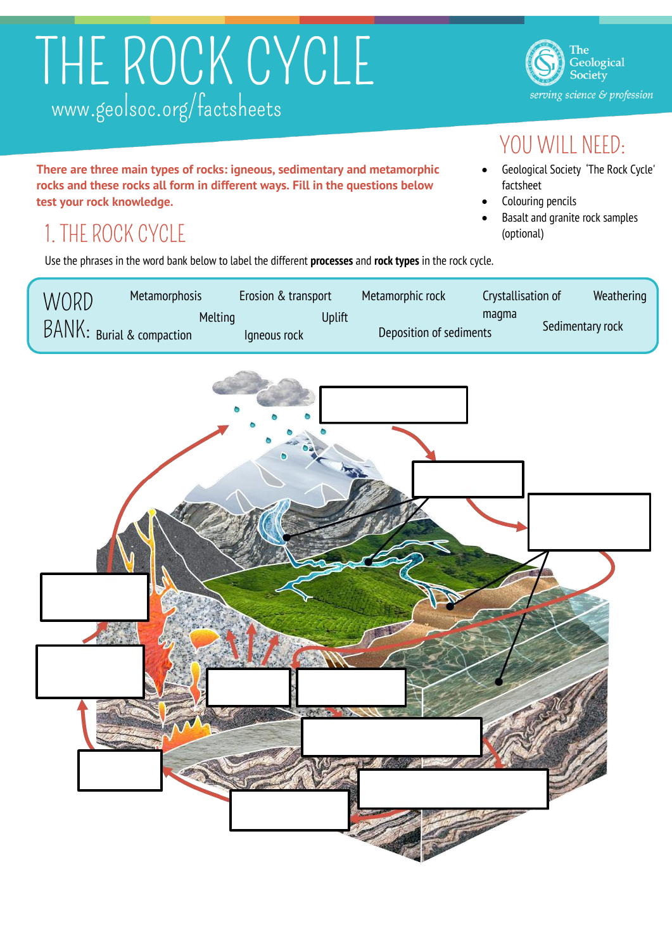# THE ROCK CYCLE www.geolsoc.org/factsheets

**There are three main types of rocks: igneous, sedimentary and metamorphic rocks and these rocks all form in different ways. Fill in the questions below test your rock knowledge.**

## 1. THE ROCK CYCLE

Use the phrases in the word bank below to label the different **processes** and **rock types** in the rock cycle.

| WORD                      | <b>Metamorphosis</b> | Erosion & transport |        | Metamorphic rock        | Crystallisation of | Weathering       |
|---------------------------|----------------------|---------------------|--------|-------------------------|--------------------|------------------|
| BANK: Burial & compaction | Melting              | Igneous rock        | Uplift | Deposition of sediments | magma              | Sedimentary rock |



The Geological Society serving science & profession

### YOU WILL NEED:

- Geological Society 'The Rock Cycle' factsheet
- Colouring pencils
- Basalt and granite rock samples (optional)